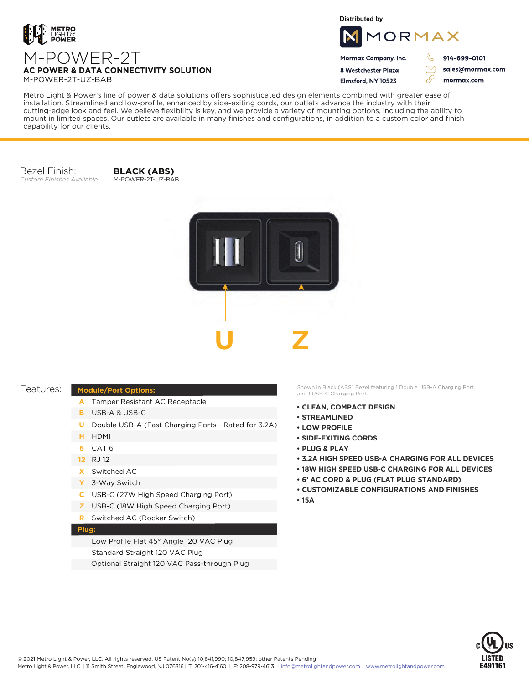

**Distributed by**



Mormax Company, Inc. 8 Westchester Plaza

Flmsford, NY 10523

914-699-0101

 $\triangledown$ 

76

sales@mormax.com mormax.com

**AC POWER & DATA CONNECTIVITY SOLUTION** M-POWER-2T-UZ-BAB

M-POWER-2T

Metro Light & Power's line of power & data solutions offers sophisticated design elements combined with greater ease of installation. Streamlined and low-profile, enhanced by side-exiting cords, our outlets advance the industry with their cutting-edge look and feel. We believe flexibility is key, and we provide a variety of mounting options, including the ability to mount in limited spaces. Our outlets are available in many finishes and configurations, in addition to a custom color and finish capability for our clients.

Bezel Finish: *Custom Finishes Available*

**BLACK (ABS)** M-POWER-2T-UZ-BAB



## Features:

## **Module/Port Options:**

- A Tamper Resistant AC Receptacle
- USB-A & USB-C **B**
- U Double USB-A (Fast Charging Ports Rated for 3.2A)
- HDMI **H**
- CAT 6 **6**
- 12 RJ 12
- Switched AC **X**
- 3-Way Switch **Y**
- USB-C (27W High Speed Charging Port) **C**
- USB-C (18W High Speed Charging Port) **Z**
- Switched AC (Rocker Switch) **R**

## **Plug:**

Low Profile Flat 45° Angle 120 VAC Plug Standard Straight 120 VAC Plug Optional Straight 120 VAC Pass-through Plug

Shown in Black (ABS) Bezel featuring 1 Double USB-A Charging Port, and 1 USB-C Charging Port.

- **• CLEAN, COMPACT DESIGN**
- **• STREAMLINED**
- **• LOW PROFILE**
- **• SIDE-EXITING CORDS**
- **• PLUG & PLAY**
- **• 3.2A HIGH SPEED USB-A CHARGING FOR ALL DEVICES**
- **• 18W HIGH SPEED USB-C CHARGING FOR ALL DEVICES**
- **• 6' AC CORD & PLUG (FLAT PLUG STANDARD)**
- **• CUSTOMIZABLE CONFIGURATIONS AND FINISHES**
- **• 15A**